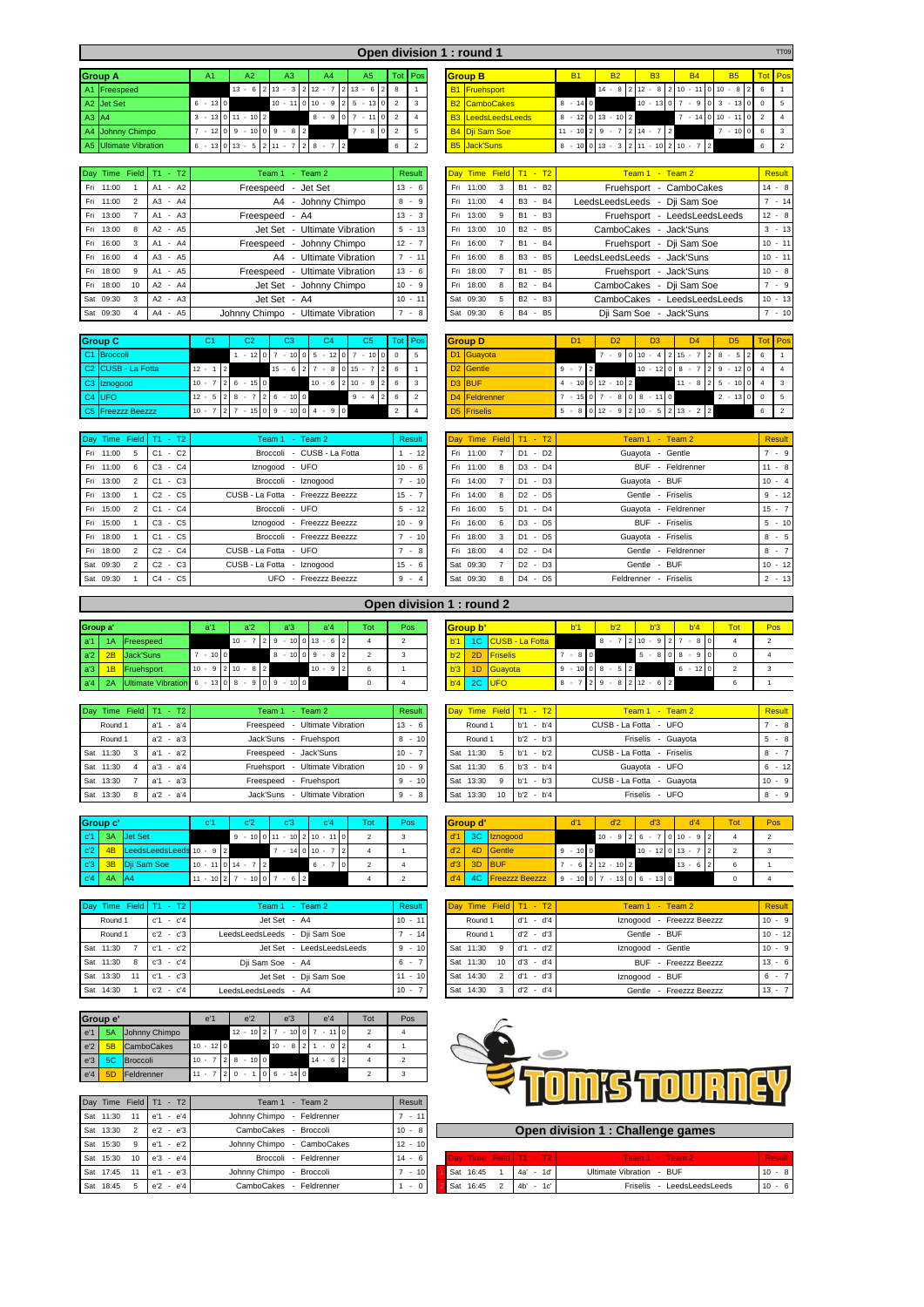|       |                       |           |                                        |                                                                                |                  |             |         |  | Open division 1 : round 1 |            |                                        |                                                                 |           |                      |   | <b>TT09</b>    |
|-------|-----------------------|-----------|----------------------------------------|--------------------------------------------------------------------------------|------------------|-------------|---------|--|---------------------------|------------|----------------------------------------|-----------------------------------------------------------------|-----------|----------------------|---|----------------|
|       | <b>Group A</b>        | A1        | A2                                     | A3                                                                             | A4               | A5.         | Tot Pos |  | <b>Group B</b>            | <b>B1</b>  | <b>B2</b>                              | <b>B3</b>                                                       | <b>B4</b> | <b>B5</b>            |   | <b>Tot</b> Pos |
|       | A1 Freespeed          |           |                                        | $13 - 6$ 2 13 - 3 2 12 - 7 2 13 - 6 2 8                                        |                  |             |         |  | <b>B1</b> Fruehsport      |            |                                        | $14 - 8 2 12 - 8 2 10 - 11 0 10 - 8 26$                         |           |                      |   |                |
|       | A2 Jet Set            | $6 - 130$ |                                        | $10 - 110110 - 9125 - 13012$                                                   |                  |             |         |  | <b>B2</b> CamboCakes      | $8 - 140$  |                                        | $10 - 13 \times 0 \times 7 - 9 \times 0 \times 3 - 13 \times 0$ |           |                      |   |                |
| A3 A4 |                       |           | $3 - 13 \cdot 0 \cdot 11 - 10 \cdot 2$ |                                                                                | $8 - 907 - 1102$ |             |         |  | <b>B3</b> LeedsLeedsLeeds |            | $8 - 12$   0   13 $-$ 10   2           |                                                                 |           | $7 - 140110 - 11022$ |   |                |
|       | A4 Johnny Chimpo      |           |                                        | $7 - 12$   0   9 $-$ 10   0   9 $-$ 8   2                                      |                  | $7 - 810$ 2 |         |  | <b>B4 Dii Sam Soe</b>     | $11 - 102$ |                                        | $9 - 7$   2   14 $-$ 7   2                                      |           | $7 - 10006$          |   |                |
|       | A5 Ultimate Vibration |           |                                        | $6 - 13 \begin{bmatrix} 0 & 13 & -5 & 2 & 11 & -7 & 2 & 8 & -16 \end{bmatrix}$ | 7 2              |             | 6       |  | <b>B5</b> Jack'Suns       |            | $8 - 10$ 0 13 - 3 2 11 - 10 2 10 - 7 2 |                                                                 |           |                      | 6 |                |

|     | Day Time Field |                | $T1 - T2$ |  | Team 1 - Team 2                    | Result                 |
|-----|----------------|----------------|-----------|--|------------------------------------|------------------------|
|     | Fri 11:00      | 1              | $A1 - A2$ |  | Freespeed - Jet Set                | $13 - 6$               |
|     | Fri 11:00      | $\mathfrak{p}$ | $A3 - A4$ |  | A4 - Johnny Chimpo                 | $8 - 9$                |
|     | Fri 13:00      | $\overline{7}$ | $A1 - A3$ |  | Freespeed - A4                     | $13 - 3$               |
|     | Fri 13:00      | 8              | $A2 - A5$ |  | Jet Set - Ultimate Vibration       | $5 - 13$               |
| Fri | 16:00          | 3              | A1 - A4   |  | Freespeed - Johnny Chimpo          | $12 - 7$               |
|     | Fri 16:00      | $\overline{4}$ | A3 - A5   |  | A4 - Ultimate Vibration            | $7 - 11$               |
|     | Fri 18:00      | 9              | $A1 - A5$ |  | Freespeed - Ultimate Vibration     | $13 - 6$               |
|     | Fri 18:00      | 10             | A2 - A4   |  | Jet Set - Johnny Chimpo            | $10 - 9$               |
|     | Sat 09:30      | 3              | $A2 - A3$ |  | Jet Set - A4                       | $10 - 11$              |
|     | Sat 09:30      | $\overline{4}$ | A4 - A5   |  | Johnny Chimpo - Ultimate Vibration | $-8$<br>$\overline{7}$ |

| Day Time Field     | $T1 - T2$                            | Team 1 - Team 2                                                  | Result      |                |                 | Day Time Field T1 - T2 | $Team 1 - Team 2$               | Result    |
|--------------------|--------------------------------------|------------------------------------------------------------------|-------------|----------------|-----------------|------------------------|---------------------------------|-----------|
| 11:00<br>Fri       | A2<br>A1<br>$\overline{\phantom{a}}$ | - Jet Set<br>Freespeed                                           | $13 - 6$    | Fri -<br>11:00 |                 | B1 - B2                | - CamboCakes<br>Fruehsport      | $14 - 8$  |
| 11:00<br>Fri       | A <sub>3</sub><br>$-A4$              | A4 - Johnny Chimpo                                               | $8 - 9$     | Fri -<br>11:00 |                 | B3 - B4                | LeedsLeedsLeeds - Dji Sam Soe   | $-14$     |
| 13:00<br>Fri       | $A1 - A3$                            | Freespeed - A4                                                   | $13 -$<br>3 | 13:00<br>Fri   |                 | B1 - B3                | - LeedsLeedsLeeds<br>Fruehsport | $12 - 8$  |
| 13:00<br>Fri<br>8  | A2 - A5                              | <b>Ultimate Vibration</b><br>Jet Set<br>$\overline{\phantom{a}}$ | $5 - 13$    | Fri.<br>13:00  | 10 <sup>1</sup> | B2 - B5                | CamboCakes<br>- Jack'Suns       | $3 - 13$  |
| 16:00<br>Fri<br>3  | - A4<br>A1                           | - Johnny Chimpo<br>Freespeed                                     | $12 -$      | Fri.<br>16:00  |                 | B1 - B4                | Fruehsport - Dii Sam Soe        | $10 - 11$ |
| 16:00<br>Fri       | A3<br>$- A5$                         | Ultimate Vibration<br>A4<br>$\overline{\phantom{0}}$             | $7 - 11$    | Fri.<br>16:00  |                 | B3 - B5                | LeedsLeedsLeeds<br>- Jack'Suns  | $10 - 11$ |
| Fri<br>18:00<br>9  | A1 - A5                              | Ultimate Vibration<br>Freespeed<br>$\overline{\phantom{a}}$      | $13 - 6$    | Fri<br>18:00   |                 | B1 - B5                | - Jack'Suns<br>Fruehsport       | $10 - 8$  |
| 18:00<br>10<br>Fri | A2<br>A4<br>$\sim$                   | Jet Set - Johnny Chimpo                                          | $10 -$<br>9 | 18:00<br>Fri   |                 | B2 - B4                | CamboCakes<br>- Dii Sam Soe     | $7 - 9$   |
| Sat 09:30<br>3     | $A2 - A3$                            | Jet Set - A4                                                     | $10 - 11$   | Sat 09:30      |                 | B2 - B3                | - LeedsLeedsLeeds<br>CamboCakes | $10 - 13$ |
| Sat 09:30          | $- A5$<br>A4                         | Johnny Chimpo<br>Ultimate Vibration<br>$\overline{\phantom{a}}$  | $7 - 8$     | Sat 09:30      |                 | B4 - B5                | Dji Sam Soe<br>- Jack'Suns      | $-10$     |

|                | <b>Group C</b>                 | C1                       |                | C <sub>2</sub> |               | C <sub>3</sub> |          |   | C <sub>4</sub>           |                 |                |        | C <sub>5</sub> |                |                |                          | Tot Pos      |
|----------------|--------------------------------|--------------------------|----------------|----------------|---------------|----------------|----------|---|--------------------------|-----------------|----------------|--------|----------------|----------------|----------------|--------------------------|--------------|
| <sub>C1</sub>  | <b>Broccoli</b>                |                          |                | $-12$          |               | $-10$          | $\Omega$ | 5 | ٠                        | 12 <sup>1</sup> | $\overline{0}$ | 7      | ٠              | 10             |                | $\Omega$                 | 5            |
|                | C <sub>2</sub> CUSB - La Fotta | $12 -$<br>$\overline{1}$ | $\overline{2}$ |                |               | $15 - 6$       |          |   | $\overline{\phantom{a}}$ | 80              |                | 15     | $\sim$         |                |                | 6                        |              |
|                | C <sub>3</sub> Iznogood        | $\overline{7}$<br>$10 -$ | $\mathcal{P}$  | $6 - 150$      |               |                |          |   | $10 - 6$                 |                 | $\overline{2}$ | $10 -$ |                | 9              | $\overline{2}$ | 6                        | $\mathbf{3}$ |
| C <sub>4</sub> | <b>IUFO</b>                    | 5<br>$12 -$              | $\overline{2}$ | $-7$<br>8      | $\mathcal{P}$ | $-1000$<br>6   |          |   |                          |                 |                | 9      | ٠              | $\overline{4}$ |                | 6                        | 2            |
|                | C5 Freezzz Beezzz              | $10 -$                   |                | $-15$          | $\Omega$      | $-10101$<br>9  |          |   | $4 - 90$                 |                 |                |        |                |                |                | $\overline{\phantom{a}}$ |              |

| Group C                        | C1                        |         | C <sub>2</sub>             |        | C <sub>3</sub> |  | C <sub>4</sub> |                | C <sub>5</sub> |                                 | Tot Pos |                    | <b>Group D</b>          | D <sub>1</sub>                                            |  | D <sub>2</sub> |  | D <sub>3</sub> | D <sub>4</sub>                                             | D5                              | <b>Tot</b> Pos |  |
|--------------------------------|---------------------------|---------|----------------------------|--------|----------------|--|----------------|----------------|----------------|---------------------------------|---------|--------------------|-------------------------|-----------------------------------------------------------|--|----------------|--|----------------|------------------------------------------------------------|---------------------------------|----------------|--|
| C1 Broccoli                    |                           |         | $-12$ 0 7                  |        | $-1010$        |  | $5 - 12$ 0 7   |                |                | $-10000$                        |         |                    | D <sub>1</sub> Guayota  |                                                           |  |                |  | $910110 - 412$ | $\degree$ 15 - $\degree$                                   | 8 -                             |                |  |
| C <sub>2</sub> CUSB - La Fotta | $12 - 112$                |         |                            | $15 -$ | 6   2          |  |                | $-810115 - 71$ |                | 216                             |         |                    | D <sub>2</sub> Gentle   | $9 - 7$ 2                                                 |  |                |  |                | $10 - 12 \begin{bmatrix} 0 & 8 & -7 & 2 & 9 \end{bmatrix}$ | $-12$ 0 4                       |                |  |
| C3 Iznogood                    | $10 - 7$   2   6 - 15   0 |         |                            |        |                |  |                |                |                | $10 - 6$   2   $10 - 9$   2   6 |         | D <sub>3</sub> BUF |                         | $4 - 100112 - 102$                                        |  |                |  |                |                                                            | $11 - 8$   2   5 $- 10$   0   4 |                |  |
| $C4$ UFO                       | $12 - 5$   2   8          |         | 7 2 6                      |        | $-100$         |  |                | $9 - 4$        |                | 216                             |         |                    | D4 Feldrenner           | $7 - 15 \cdot 0 \cdot 7 - 8 \cdot 0 \cdot 8 - 11 \cdot 0$ |  |                |  |                |                                                            | $2 - 1300$                      |                |  |
| C5 Freezzz Beezzz              | $10 - 7$                  | ∵ I 2 I | $-15$ 0 9 $-10$ 0 4 $-9$ 0 |        |                |  |                |                |                |                                 |         |                    | D <sub>5</sub> Friselis |                                                           |  |                |  |                | $5 - 8$ 0 12 - 9 2 10 - 5 2 13 - 2 2                       |                                 |                |  |

| Day Time Field T1 - T2      |           | Team 1 - Team 2                  | Result   |  |           |              | Day Time Field T1 - T2 | $Team 1 - Team 2$     | <b>Result</b> |
|-----------------------------|-----------|----------------------------------|----------|--|-----------|--------------|------------------------|-----------------------|---------------|
| Fri 11:00<br>5              | $C1 - C2$ | Broccoli - CUSB - La Fotta       | $1 - 12$ |  | Fri 11:00 |              | $D1 - D2$              | Guayota - Gentle      | $7 - 9$       |
| Fri 11:00<br>6              | $C3 - C4$ | Iznogood - UFO                   | $10 - 6$ |  | Fri 11:00 | -8           | $D3 - D4$              | BUF - Feldrenner      | $11 - 8$      |
| Fri 13:00<br>$\mathcal{P}$  | $C1 - C3$ | Broccoli - Iznogood              | $7 - 10$ |  | Fri 14:00 |              | $D1 - D3$              | Guayota - BUF         | $10 - 4$      |
| Fri 13:00                   | $C2 - C5$ | CUSB - La Fotta - Freezzz Beezzz | $15 -$   |  | Fri 14:00 | $\mathbf{R}$ | $D2 - D5$              | Gentle - Friselis     | $9 - 12$      |
| Fri 15:00<br>$\overline{2}$ | $C1 - C4$ | Broccoli - UFO                   | $5 - 12$ |  | Fri 16:00 | -5           | $D1 - D4$              | Guayota - Feldrenner  | $15 - 7$      |
| Fri 15:00                   | $C3 - C5$ | Iznogood - Freezzz Beezzz        | $10 - 9$ |  | Fri 16:00 | - 6          | D3 - D5                | BUF - Friselis        | $5 - 10$      |
| Fri 18:00                   | $C1 - C5$ | Broccoli - Freezzz Beezzz        | $7 - 10$ |  | Fri 18:00 | $\mathbf{R}$ | $D1 - D5$              | Guayota - Friselis    | $8 - 5$       |
| Fri 18:00<br>$\overline{2}$ | $C2 - C4$ | CUSB - La Fotta - UFO            | $7 - 8$  |  | Fri 18:00 |              | $D2 - D4$              | Gentle - Feldrenner   | $8 - 7$       |
| Sat 09:30                   | $C2 - C3$ | CUSB - La Fotta - Iznogood       | $15 - 6$ |  | Sat 09:30 |              | $D2 - D3$              | Gentle - BUF          | $10 - 12$     |
| Sat 09:30                   | $C4 - C5$ | UFO - Freezzz Beezzz             | $9 - 4$  |  | Sat 09:30 | 8            | $D4 - D5$              | Feldrenner - Friselis | $2 + 13$      |

|           | Day Time Field | $T1 - T2$               | Team 1 - Team 2                  | Result   | Day Time Field T1 - T2 |           | Team $1 -$ Team $2$      | <b>Result</b> |
|-----------|----------------|-------------------------|----------------------------------|----------|------------------------|-----------|--------------------------|---------------|
| Fri 11:00 | 5              | $-C2$<br>C <sub>1</sub> | Broccoli - CUSB - La Fotta       | $-12$    | Fri 11:00              | $D1 - D2$ | Guayota - Gentle         | $7 - 9$       |
| Fri 11:00 | 6              | $-C4$<br>C <sub>3</sub> | Iznogood - UFO                   | $10 - 6$ | Fri 11:00              | $D3 - D4$ | BUF - Feldrenner         | $11 - 8$      |
| Fri 13:00 |                | $-C3$<br>C <sub>1</sub> | Broccoli - Iznogood              | $-10$    | Fri 14:00              | $D1 - D3$ | Guayota - BUF            | $10 - 4$      |
| Fri 13:00 |                | $C2 - C5$               | CUSB - La Fotta - Freezzz Beezzz | $15 - 7$ | Fri 14:00              | $D2 - D5$ | Gentle - Friselis        | $9 - 12$      |
| Fri 15:00 |                | $-C4$<br>C <sub>1</sub> | Broccoli - UFO                   | $5 - 12$ | Fri<br>16:00           | $D1 - D4$ | Guayota - Feldrenner     | $15 - 7$      |
| Fri 15:00 |                | $-C5$<br>C <sub>3</sub> | Iznogood - Freezzz Beezzz        | $10 - 9$ | Fri 16:00              | D3 - D5   | <b>BUF</b><br>- Friselis | $5 - 10$      |
| Fri 18:00 |                | $-C5$<br>C <sub>1</sub> | Broccoli - Freezzz Beezzz        | $7 - 10$ | Fri<br>18:00           | $D1 - D5$ | Guayota - Friselis       | $8 - 5$       |
| Fri 18:00 |                | $C2 - C4$               | CUSB - La Fotta - UFO            | - 8      | Fri -<br>18:00         | $D2 - D4$ | Gentle - Feldrenner      | $8 - 7$       |
| Sat 09:30 | 2              | $-C3$<br>C <sub>2</sub> | CUSB - La Fotta - Iznogood       | $15 - 6$ | Sat 09:30              | $D2 - D3$ | Gentle - BUF             | $10 - 12$     |
| Sat 09:30 |                | $-C5$<br>C <sub>4</sub> | UFO - Freezzz Beezzz             | $9 - 4$  | Sat 09:30              | $D4 - D5$ | Feldrenner - Friselis    | $2 - 13$      |

|          |    |                                              |                     |                |                |                    |      | ODEN GIVISION I : TOUNG Z |     |          |                    |        |                |                  |                            |           |                  |               |
|----------|----|----------------------------------------------|---------------------|----------------|----------------|--------------------|------|---------------------------|-----|----------|--------------------|--------|----------------|------------------|----------------------------|-----------|------------------|---------------|
| Group a' |    |                                              | a <sup>'1</sup>     | a <sup>2</sup> | a'3            | a <sup>'</sup> 4   | Tot. | Pos                       |     | Group b' |                    | h'1    |                | b <sup>2</sup>   | b'3                        | b'4       | Tot <sub>b</sub> | Pos           |
| a'1      | 1A | <b>Freespeed</b>                             |                     | $10 - 7$       | $\overline{2}$ | $9 - 100113 - 612$ |      |                           | b'1 |          | 1C CUSB - La Fotta |        |                | $8 -$            | $210 - 92$                 | $-810$    |                  | $\mathcal{P}$ |
| a'2      | 2B | Jack'Suns                                    | $-1000$             |                |                | $8 - 101019 - 812$ |      |                           | b'2 | 2D       | <b>Friselis</b>    | $-810$ |                |                  | $5 - 810$                  | 90<br>8 - | $\Omega$         |               |
| a'3      | 1B | Fruehsport                                   | $10 - 912110 - 812$ |                |                | $10 - 912$         |      |                           | b'3 |          | 1D Guavota         | 9      |                | $-10$ 0 8 $-5$ 1 | $\overline{2}$             | $6 - 120$ | $\sim$           | 3             |
| a'4      | 2A | Ultimate Vibration 6 - 13 0 8 - 9 0 9 - 10 0 |                     |                |                |                    |      |                           | b'4 |          | 2C UFO             | 8      | $\overline{2}$ |                  | $9 - 8$   2   12 $- 6$   2 |           | 6                |               |

| Day Time Field   T1 - T2 |             | Team 2<br>Team $1 -$                   | Result     | Day Time Field T1 - T2 |             | Team $1 -$ Team $2$        | Result   |
|--------------------------|-------------|----------------------------------------|------------|------------------------|-------------|----------------------------|----------|
| Round 1                  | $a'1 - a'4$ | <b>Ultimate Vibration</b><br>Freespeed | $13 - 6$   | Round 1                | $h'1 - h'4$ | CUSB - La Fotta - UFO      | $\sim$ 8 |
| Round 1                  | $a'2 - a'3$ | Jack'Suns - Fruehsport                 | $-10$<br>8 | Round 1                | $b'2 - b'3$ | Friselis - Guavota         | $5 - 8$  |
| Sat 11:30<br>3           | $a'1 - a'2$ | - Jack'Suns<br>Freespeed               | $10 -$     | Sat 11:30              | $b'1 - b'2$ | CUSB - La Fotta - Friselis | $8 - 7$  |
| Sat 11:30<br>4           | $a'3 - a'4$ | Fruehsport - Ultimate Vibration        | $10 - 9$   | Sat 11:30<br>-6        | $b'3 - b'4$ | Guavota - UFO              | $6 - 1$  |
| Sat 13:30                | $a'1 - a'3$ | - Fruehsport<br>Freespeed              | $9 - 10$   | Sat 13:30<br>-9        | $b'1 - b'3$ | CUSB - La Fotta - Guayota  | $10 - 9$ |
| Sat 13:30<br>8           | $a'2 - a'4$ | <b>Ultimate Vibration</b><br>Jack'Suns | $9 - 8$    | Sat 13:30<br>10        | $b'2 - b'4$ | Friselis - UFO             | $8 - 9$  |

|                | Group c'      |                             | ۰C.                    |                              | c <sup>3</sup>  |       | c <sup>1</sup> 4 |               | Tot <sub>1</sub> | Pos |     | Group d' |                       | d'1          | d'2                      | d'3                                       | d'4          | Tot <sup>1</sup> | Pos            |
|----------------|---------------|-----------------------------|------------------------|------------------------------|-----------------|-------|------------------|---------------|------------------|-----|-----|----------|-----------------------|--------------|--------------------------|-------------------------------------------|--------------|------------------|----------------|
| c'1            | 3A            | <b>Jet Set</b>              |                        | $9 - 100111 - 102110 - 1100$ |                 |       |                  |               |                  |     |     |          | d'1 3C Znogood        |              |                          | $10 - 9$   2   6 $- 7$   0   10 $- 9$   2 |              |                  | $\overline{2}$ |
| c'2            |               | 4B LeedsLeedsLeeds 10 - 9 2 |                        |                              | $7 - 1410110 -$ |       |                  |               |                  |     | d'2 |          | 4D Gentle             | $-1000$<br>9 |                          | $10 - 12$ 0 13 - 7                        |              |                  | $\mathbf{3}$   |
| c <sup>3</sup> |               | 3B Dii Sam Soe              | $10 - 11$ 0 $14 - 7$ 2 |                              |                 | $6 -$ |                  | <b>∶I o</b> l |                  |     | d'3 |          | 3D BUF                |              | $-6$   2   12 $-$ 10   2 |                                           | $13 - 6$   2 |                  |                |
|                | $c'4$ 4A $AA$ |                             | $11 - 10$ 2 7          | $-10$ 0 7 - 6 2              |                 |       |                  |               |                  |     |     |          | d'4 4C Freezzz Beezzz |              |                          | $9 - 1007 - 1306 - 130$                   |              |                  |                |

| Dav | Time Field T1 - T2 |                |  |             | Team 1 - Team 2               | <b>Result</b> |
|-----|--------------------|----------------|--|-------------|-------------------------------|---------------|
|     | Round 1            |                |  | $c'1 - c'4$ | Jet Set - A4                  | $10 - 11$     |
|     | Round 1            |                |  | $c'2 - c'3$ | LeedsLeedsLeeds - Dij Sam Soe | $-14$         |
|     | Sat 11:30          | $\overline{7}$ |  | $c'1 - c'2$ | Jet Set - LeedsLeedsLeeds     | $9 - 10$      |
|     | Sat 11:30          | 8              |  | $c'3 - c'4$ | Dji Sam Soe - A4              | $-7$<br>6     |
|     | Sat 13:30          | 11             |  | $c'1 - c'3$ | Jet Set - Dji Sam Soe         | $11 - 10$     |
|     | Sat 14:30          | 1              |  | $c'2 - c'4$ | LeedsLeedsLeeds - A4          | $10 - 7$      |

|                  | Group e' |                   | e'1        |            | e <sup>'2</sup> | e <sup>'</sup> 3             | e'4             | Tot | Pos |
|------------------|----------|-------------------|------------|------------|-----------------|------------------------------|-----------------|-----|-----|
| e'1              | 5A       | Johnny Chimpo     |            |            |                 | $12 - 102$ 7 - 10 0 7 - 11 0 |                 | 2   |     |
| e <sup>'2</sup>  | 5B       | <b>CamboCakes</b> | $10 - 120$ |            |                 | $10 - 8$   2                 | 0 <sub>12</sub> |     |     |
| e <sup>'</sup> 3 | 5C       | <b>Broccoli</b>   | $10 -$     | $8 - 1000$ |                 |                              | $14 - 6$   2    |     |     |
| $e^4$            | 5D       | Feldrenner        |            |            |                 | $1 0 6 - 14 0 $              |                 |     |     |

| Day |           |                 | Time Field T1 - T2 | Team 2<br>Team 1              | Result    |  |                        |             | <u>romne reemic in</u>            |          |
|-----|-----------|-----------------|--------------------|-------------------------------|-----------|--|------------------------|-------------|-----------------------------------|----------|
|     | Sat 11:30 |                 | $-e^t4$<br>e'1     | - Feldrenner<br>Johnny Chimpo | $-11$     |  |                        |             |                                   |          |
|     | Sat 13:30 |                 | $e'2 - e'3$        | CamboCakes<br>Broccoli        | $10 - 8$  |  |                        |             | Open division 1 : Challenge games |          |
| Sat | 15:30     | 9               | $e'1 - e'2$        | Johnny Chimpo - CamboCakes    | $12 - 10$ |  |                        |             |                                   |          |
|     | Sat 15:30 | 10 <sup>1</sup> | $e'3 - e'4$        | Broccoli - Feldrenner         | $14 -$    |  | Day Time Field T1 - T2 |             | Team 1 - Team 2                   | Result   |
|     | Sat 17:45 |                 | $e'1 - e'3$        | Johnny Chimpo<br>- Broccoli   | $-10$     |  | Sat 16:45              | 4a' - 1d'   | Ultimate Vibration - BUF          | $10 - 8$ |
|     | Sat 18:45 |                 | $e'2 - e'4$        | - Feldrenner<br>CamboCakes    | $\sim$    |  | Sat 16:45              | $4b' - 1c'$ | LeedsLeedsLeeds<br>Friselis       | $10 - 6$ |

|          |                                                                     |                            |         |  |     |  |      |  |                                            |            | Open division 1 : round 2 |          |  |                    |                               |         |                    |     |                             |     |           |            |     |  |
|----------|---------------------------------------------------------------------|----------------------------|---------|--|-----|--|------|--|--------------------------------------------|------------|---------------------------|----------|--|--------------------|-------------------------------|---------|--------------------|-----|-----------------------------|-----|-----------|------------|-----|--|
| Group a' |                                                                     | a <sup>2</sup><br>a'1      |         |  | a'3 |  | -a'4 |  | Tot                                        | <b>Pos</b> |                           | Group b' |  |                    | b'1                           | b'2     |                    | b'3 |                             | b'4 |           | <b>Tot</b> | Pos |  |
| a'1 I    | 1A Freespeed                                                        |                            |         |  |     |  |      |  | $10 - 7$   2   9 $-$ 10   0   13 $-$ 6   2 |            |                           | b'1      |  | 1C CUSB - La Fotta |                               |         |                    |     | $8 - 7$  2 10 - 9 2 7 - 8 0 |     |           |            |     |  |
| a'2 I    | <mark>I 2B I</mark> Jack'Suns                                       |                            | $-1000$ |  |     |  |      |  | $8 - 101019 - 812$                         | $\sim$     |                           | b2       |  | 2D Friselis        |                               | 7 - 8 0 |                    |     | $5 - 81018 - 910$           |     |           |            |     |  |
| a'3 I    | 1B Fruehsport                                                       | $10 - 9$   2  $10 - 8$   2 |         |  |     |  |      |  | $10 - 9$   2                               | 6          |                           | b'3      |  | 1D Guavota         |                               |         | $9 - 101018 - 512$ |     |                             |     | $6 - 120$ |            |     |  |
|          | a'4   2A   Ultimate Vibration   6 - 13   0   8 - 9   0   9 - 10   0 |                            |         |  |     |  |      |  |                                            |            |                           | b'4      |  | 2C UFO             | 8<br>$\overline{\phantom{a}}$ |         |                    |     | 729-8212-62                 |     |           |            |     |  |

| Time Field T1 - T2<br>Dav |                          | Team 2<br>Team 1                       | Result     | Day Time Field T1 - T2          |                | $Team 1 - Team 2$            | Result   |
|---------------------------|--------------------------|----------------------------------------|------------|---------------------------------|----------------|------------------------------|----------|
| Round 1                   | a'1<br>$- a'4$           | <b>Ultimate Vibration</b><br>Freespeed | $13 - 6$   | Round 1                         | b'1<br>$-b'4$  | CUSB - La Fotta - UFO        | $-8$     |
| Round 1                   | $a'2 - a'3$              | Jack'Suns<br>Fruehsport                | $-10$      | Round 1                         | $b'2 - b'3$    | Friselis - Guavota           | $5 - 8$  |
| Sat 11:30                 | $- a'2$<br>a'1           | - Jack'Suns<br>Freespeed               | $10 -$     | 11:30<br>Sat<br>5               | $- b'2$<br>h'1 | CUSB - La Fotta - Friselis   | $8 - 7$  |
| Sat 11:30                 | $a'3 - a'4$              | Ultimate Vibration<br>Fruehsport -     | $10 - 9$   | 11:30<br>Sat<br>6               | $b'3 - b'4$    | Guavota - UFO                | $6 - 12$ |
| Sat 13:30                 | a'1<br>$- a'3$           | Fruehsport<br>Freespeed                | $-10$<br>9 | 13:30<br>Sat<br>9               | $- b'3$<br>h'1 | CUSB - La Fotta<br>- Guavota | $10 - 9$ |
| Sat 13:30<br>8            | a <sup>'2</sup><br>- a'4 | Jack'Suns<br>Ultimate Vibration        | -9<br>- 8  | 13:30<br>10 <sup>1</sup><br>Sat | $b'2 - b'4$    | - UFO<br>Friselis            | $8 - 9$  |

| Group c'       |                                 |             | с'1 |  |                      |  | c <sub>3</sub>  |         |                           | "ot | Pos |  | <b>Group d'</b> |                       | d'1                          |  | d'2 | d'3                                   |  | d'4          |  | Tot | Pos. |
|----------------|---------------------------------|-------------|-----|--|----------------------|--|-----------------|---------|---------------------------|-----|-----|--|-----------------|-----------------------|------------------------------|--|-----|---------------------------------------|--|--------------|--|-----|------|
|                | c'1 3A Jet Set                  |             |     |  |                      |  |                 |         | $9 - 10011 - 10210 - 110$ |     |     |  |                 | d'1 3C Iznogood       |                              |  |     | $10 - 9$   2   6 - 7   0   10 - 9   2 |  |              |  |     |      |
|                | c'2 4B LeedsLeedsLeeds 10 - 9 2 |             |     |  |                      |  |                 |         | $-140110 - 712$           |     |     |  |                 | d'2 4D Gentle         | $9 - 100$                    |  |     | $10 - 12$ 0 13 - 7                    |  |              |  |     |      |
|                | c'3 3B Dii Sam Soe              |             |     |  | $10 - 11$ 0 14 - 7 2 |  |                 | $6 - 7$ |                           |     |     |  |                 | $d3$ 3D BUF           | $7 - 6$   2   12 - 10   2    |  |     |                                       |  | $13 - 6$   2 |  |     |      |
| $c'$ 4 4A $AA$ |                                 | $11 - 10$ 2 |     |  |                      |  | $7 - 1007 - 62$ |         |                           |     |     |  |                 | d'4 4C Freezzz Beezzz | $9 - 10$ 0 7 - 13 0 6 - 13 0 |  |     |                                       |  |              |  |     |      |

| Day Time Field T1 - T2 |               | Team 1 - Team 2               | Result      | Day Time Field T1 - T2        |               | Team 1 - Team 2                | Result    |
|------------------------|---------------|-------------------------------|-------------|-------------------------------|---------------|--------------------------------|-----------|
| Round 1                | c'1<br>$-C4$  | Jet Set - A4                  | $10 - 11$   | Round 1                       | $-d'4$<br>d'1 | Iznogood - Freezzz Beezzz      | $10 - 9$  |
| Round 1                | $c'2 - c'3$   | LeedsLeedsLeeds - Dij Sam Soe | $-14$       | Round 1                       | $d'2 - d'3$   | Gentle - BUF                   | $10 - 12$ |
| Sat 11:30              | $-C2$<br>c'1  | Jet Set - LeedsLeedsLeeds     | $9 - 10$    | Sat 11:30<br>9                | $d'1 - d'2$   | Iznogood - Gentle              | $10 - 9$  |
| Sat 11:30<br>8         | $c'3 - c'4$   | Dii Sam Soe - A4              | 6 -         | Sat 11:30<br>$10^{-1}$        | $d'3 - d'4$   | - Freezzz Beezzz<br><b>BUF</b> | $13 - 6$  |
| Sat 13:30<br>11        | $ c'3$<br>c'1 | Jet Set - Dji Sam Soe         | $-10$<br>11 | 14:30<br>Sat<br>$\mathcal{P}$ | $- d3$<br>d'1 | Iznogood - BUF                 | $6 - 7$   |
| Sat 14:30              | $c'2 - c'4$   | LeedsLeedsLeeds - A4          | $10 -$      | Sat<br>14:30<br>3             | $d'2 - d'4$   | Gentle<br>Freezzz Beezzz       | $13 - 7$  |

| <b>Example 10 To 10 To 10 To 10 To 10 To 10 To 10 To 10 To 10 To 10 To 10 To 10 To 10 To 10 To 10 To 10 To 10 To</b> |
|----------------------------------------------------------------------------------------------------------------------|
|----------------------------------------------------------------------------------------------------------------------|

| Sat 13:30 |    | $-e'3$<br>$e^2$         | CamboCakes<br>Broccoli     | $10 - 8$  |  |       |           |                        | Open division 1 : Challenge games  |               |
|-----------|----|-------------------------|----------------------------|-----------|--|-------|-----------|------------------------|------------------------------------|---------------|
| Sat 15:30 |    | $-e^{\prime}2$<br>e'1   | Johnny Chimpo - CamboCakes | $12 - 10$ |  |       |           |                        |                                    |               |
| Sat 15:30 | 10 | $e'3 - e'4$             | - Feldrenner<br>Broccoli   | $14 - 6$  |  |       |           | Day Time Field T1 - T2 | Team $1 -$ Team $2$                | <b>Result</b> |
| Sat 17:45 |    | $ e'3$<br>e'1           | Johnny Chimpo<br>Broccoli  | $-10$     |  |       | Sat 16:45 | 4a' - 1d'              | <b>Ultimate Vibration</b><br>- BUF | $10 - 8$      |
| Sat 18:45 |    | $e^{\prime}2$<br>$-e^4$ | CamboCakes - Feldrenner    |           |  | 2 Sat | 16:45     | $4b' - 1c'$            | Friselis<br>LeedsLeedsLeeds        | $10 - 6$      |